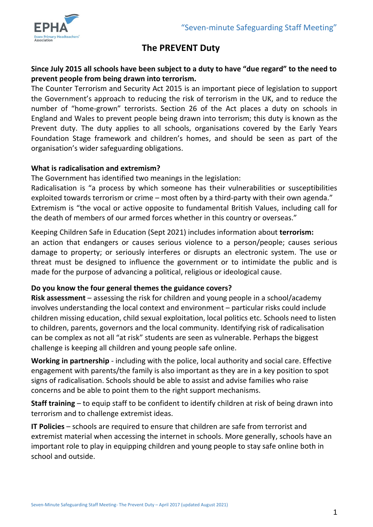

# **The PREVENT Duty**

## **Since July 2015 all schools have been subject to a duty to have "due regard" to the need to prevent people from being drawn into terrorism.**

The Counter Terrorism and Security Act 2015 is an important piece of legislation to support the Government's approach to reducing the risk of terrorism in the UK, and to reduce the number of "home-grown" terrorists. Section 26 of the Act places a duty on schools in England and Wales to prevent people being drawn into terrorism; this duty is known as the Prevent duty. The duty applies to all schools, organisations covered by the Early Years Foundation Stage framework and children's homes, and should be seen as part of the organisation's wider safeguarding obligations.

#### **What is radicalisation and extremism?**

The Government has identified two meanings in the legislation:

Radicalisation is "a process by which someone has their vulnerabilities or susceptibilities exploited towards terrorism or crime – most often by a third-party with their own agenda." Extremism is "the vocal or active opposite to fundamental British Values, including call for the death of members of our armed forces whether in this country or overseas."

Keeping Children Safe in Education (Sept 2021) includes information about **terrorism:** an action that endangers or causes serious violence to a person/people; causes serious damage to property; or seriously interferes or disrupts an electronic system. The use or threat must be designed to influence the government or to intimidate the public and is made for the purpose of advancing a political, religious or ideological cause.

# **Do you know the four general themes the guidance covers?**

**Risk assessment** – assessing the risk for children and young people in a school/academy involves understanding the local context and environment – particular risks could include children missing education, child sexual exploitation, local politics etc. Schools need to listen to children, parents, governors and the local community. Identifying risk of radicalisation can be complex as not all "at risk" students are seen as vulnerable. Perhaps the biggest challenge is keeping all children and young people safe online.

**Working in partnership** - including with the police, local authority and social care. Effective engagement with parents/the family is also important as they are in a key position to spot signs of radicalisation. Schools should be able to assist and advise families who raise concerns and be able to point them to the right support mechanisms.

**Staff training** – to equip staff to be confident to identify children at risk of being drawn into terrorism and to challenge extremist ideas.

**IT Policies** – schools are required to ensure that children are safe from terrorist and extremist material when accessing the internet in schools. More generally, schools have an important role to play in equipping children and young people to stay safe online both in school and outside.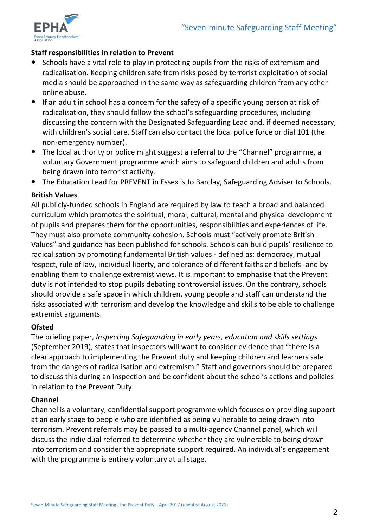

# **Staff responsibilities in relation to Prevent**

- Schools have a vital role to play in protecting pupils from the risks of extremism and radicalisation. Keeping children safe from risks posed by terrorist exploitation of social media should be approached in the same way as safeguarding children from any other online abuse.
- If an adult in school has a concern for the safety of a specific young person at risk of radicalisation, they should follow the school's safeguarding procedures, including discussing the concern with the Designated Safeguarding Lead and, if deemed necessary, with children's social care. Staff can also contact the local police force or dial 101 (the non-emergency number).
- The local authority or police might suggest a referral to the "Channel" programme, a voluntary Government programme which aims to safeguard children and adults from being drawn into terrorist activity.
- The Education Lead for PREVENT in Essex is Jo Barclay, Safeguarding Adviser to Schools.

### **British Values**

All publicly-funded schools in England are required by law to teach a broad and balanced curriculum which promotes the spiritual, moral, cultural, mental and physical development of pupils and prepares them for the opportunities, responsibilities and experiences of life. They must also promote community cohesion. Schools must "actively promote British Values" and guidance has been published for schools. Schools can build pupils' resilience to radicalisation by promoting fundamental British values - defined as: democracy, mutual respect, rule of law, individual liberty, and tolerance of different faiths and beliefs -and by enabling them to challenge extremist views. It is important to emphasise that the Prevent duty is not intended to stop pupils debating controversial issues. On the contrary, schools should provide a safe space in which children, young people and staff can understand the risks associated with terrorism and develop the knowledge and skills to be able to challenge extremist arguments.

#### **Ofsted**

The briefing paper, *Inspecting Safeguarding in early years, education and skills settings* (September 2019), states that inspectors will want to consider evidence that "there is a clear approach to implementing the Prevent duty and keeping children and learners safe from the dangers of radicalisation and extremism." Staff and governors should be prepared to discuss this during an inspection and be confident about the school's actions and policies in relation to the Prevent Duty.

# **Channel**

Channel is a voluntary, confidential support programme which focuses on providing support at an early stage to people who are identified as being vulnerable to being drawn into terrorism. Prevent referrals may be passed to a multi-agency Channel panel, which will discuss the individual referred to determine whether they are vulnerable to being drawn into terrorism and consider the appropriate support required. An individual's engagement with the programme is entirely voluntary at all stage.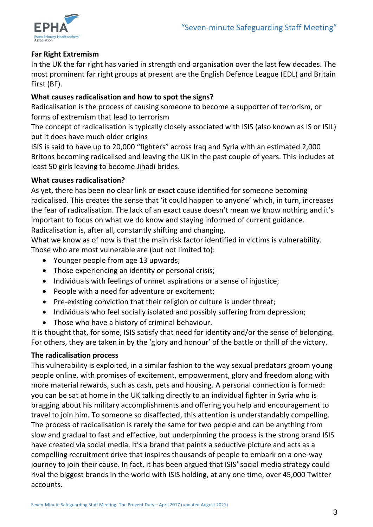

## **Far Right Extremism**

In the UK the far right has varied in strength and organisation over the last few decades. The most prominent far right groups at present are the English Defence League (EDL) and Britain First (BF).

# **What causes radicalisation and how to spot the signs?**

Radicalisation is the process of causing someone to become a supporter of terrorism, or forms of extremism that lead to terrorism

The concept of radicalisation is typically closely associated with ISIS (also known as IS or ISIL) but it does have much older origins

ISIS is said to have up to 20,000 "fighters" across Iraq and Syria with an estimated 2,000 Britons becoming radicalised and leaving the UK in the past couple of years. This includes at least 50 girls leaving to become Jihadi brides.

# **What causes radicalisation?**

As yet, there has been no clear link or exact cause identified for someone becoming radicalised. This creates the sense that 'it could happen to anyone' which, in turn, increases the fear of radicalisation. The lack of an exact cause doesn't mean we know nothing and it's important to focus on what we do know and staying informed of current guidance. Radicalisation is, after all, constantly shifting and changing.

What we know as of now is that the main risk factor identified in victims is vulnerability. Those who are most vulnerable are (but not limited to):

- Younger people from age 13 upwards;
- Those experiencing an identity or personal crisis:
- Individuals with feelings of unmet aspirations or a sense of injustice;
- People with a need for adventure or excitement;
- Pre-existing conviction that their religion or culture is under threat;
- Individuals who feel socially isolated and possibly suffering from depression;
- Those who have a history of criminal behaviour.

It is thought that, for some, ISIS satisfy that need for identity and/or the sense of belonging. For others, they are taken in by the 'glory and honour' of the battle or thrill of the victory.

# **The radicalisation process**

This vulnerability is exploited, in a similar fashion to the way sexual predators groom young people online, with promises of excitement, empowerment, glory and freedom along with more material rewards, such as cash, pets and housing. A personal connection is formed: you can be sat at home in the UK talking directly to an individual fighter in Syria who is bragging about his military accomplishments and offering you help and encouragement to travel to join him. To someone so disaffected, this attention is understandably compelling. The process of radicalisation is rarely the same for two people and can be anything from slow and gradual to fast and effective, but underpinning the process is the strong brand ISIS have created via social media. It's a brand that paints a seductive picture and acts as a compelling recruitment drive that inspires thousands of people to embark on a one-way journey to join their cause. In fact, it has been argued that ISIS' social media strategy could rival the biggest brands in the world with ISIS holding, at any one time, over 45,000 Twitter accounts.